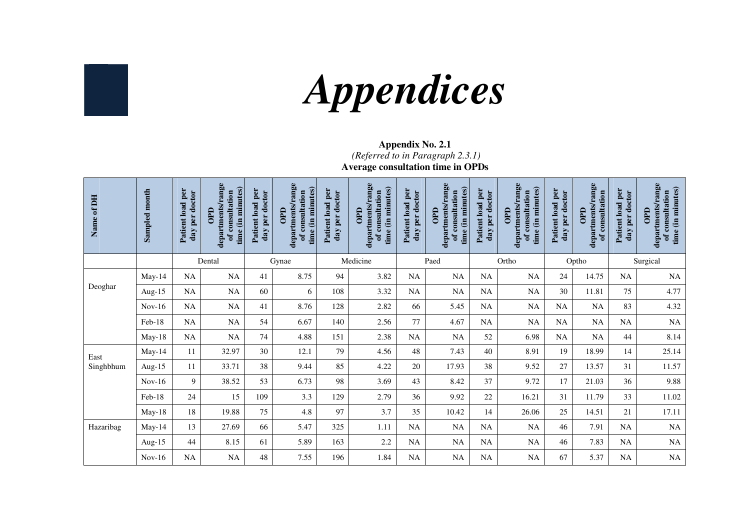

# *Appendices*

#### **Appendix No. 2.1**  *(Referred to in Paragraph 2.3.1)*

**Average consultation time in OPDs** 

| Name of DH | Sampled month | Patient load per<br>day per doctor | departments/range<br>time (in minutes)<br>of consultation<br>$rac{1}{2}$ | Patient load per<br>day per doctor | departments/range<br>time (in minutes)<br>of consultation<br>GaO | Patient load per<br>day per doctor | departments/range<br>time (in minutes)<br>of consultation<br>OPD | Patient load per<br>day per doctor | departments/range<br>time (in minutes)<br>of consultation<br>OPD | Patient load per<br>day per doctor | departments/range<br>time (in minutes)<br>of consultation<br>OPD | Patient load per<br>day per doctor | departments/range<br>of consultation<br><b>OPD</b> | Patient load per<br>day per doctor | departments/range<br>time (in minutes)<br>of consultation<br>$\frac{1}{2}$ |
|------------|---------------|------------------------------------|--------------------------------------------------------------------------|------------------------------------|------------------------------------------------------------------|------------------------------------|------------------------------------------------------------------|------------------------------------|------------------------------------------------------------------|------------------------------------|------------------------------------------------------------------|------------------------------------|----------------------------------------------------|------------------------------------|----------------------------------------------------------------------------|
|            |               |                                    | Dental                                                                   |                                    | Gynae                                                            |                                    | Medicine                                                         |                                    | Paed                                                             |                                    | Ortho                                                            |                                    | Optho                                              |                                    | Surgical                                                                   |
|            | May-14        | <b>NA</b>                          | NA                                                                       | 41                                 | 8.75                                                             | 94                                 | 3.82                                                             | <b>NA</b>                          | <b>NA</b>                                                        | NA                                 | $\rm NA$                                                         | 24                                 | 14.75                                              | <b>NA</b>                          | NA                                                                         |
| Deoghar    | Aug-15        | <b>NA</b>                          | <b>NA</b>                                                                | 60                                 | 6                                                                | 108                                | 3.32                                                             | <b>NA</b>                          | <b>NA</b>                                                        | <b>NA</b>                          | NA                                                               | 30                                 | 11.81                                              | 75                                 | 4.77                                                                       |
|            | $Nov-16$      | <b>NA</b>                          | <b>NA</b>                                                                | 41                                 | 8.76                                                             | 128                                | 2.82                                                             | 66                                 | 5.45                                                             | <b>NA</b>                          | <b>NA</b>                                                        | <b>NA</b>                          | <b>NA</b>                                          | 83                                 | 4.32                                                                       |
|            | Feb-18        | NA                                 | NA                                                                       | 54                                 | 6.67                                                             | 140                                | 2.56                                                             | 77                                 | 4.67                                                             | NA                                 | $\rm NA$                                                         | NA                                 | NA                                                 | NA                                 | NA                                                                         |
|            | $May-18$      | NA                                 | NA                                                                       | 74                                 | 4.88                                                             | 151                                | 2.38                                                             | NA                                 | NA                                                               | 52                                 | 6.98                                                             | NA                                 | <b>NA</b>                                          | 44                                 | 8.14                                                                       |
| East       | May-14        | 11                                 | 32.97                                                                    | 30                                 | 12.1                                                             | 79                                 | 4.56                                                             | 48                                 | 7.43                                                             | 40                                 | 8.91                                                             | 19                                 | 18.99                                              | 14                                 | 25.14                                                                      |
| Singhbhum  | Aug-15        | 11                                 | 33.71                                                                    | 38                                 | 9.44                                                             | 85                                 | 4.22                                                             | 20                                 | 17.93                                                            | 38                                 | 9.52                                                             | 27                                 | 13.57                                              | 31                                 | 11.57                                                                      |
|            | $Nov-16$      | 9                                  | 38.52                                                                    | 53                                 | 6.73                                                             | 98                                 | 3.69                                                             | 43                                 | 8.42                                                             | 37                                 | 9.72                                                             | 17                                 | 21.03                                              | 36                                 | 9.88                                                                       |
|            | Feb-18        | 24                                 | 15                                                                       | 109                                | 3.3                                                              | 129                                | 2.79                                                             | 36                                 | 9.92                                                             | 22                                 | 16.21                                                            | 31                                 | 11.79                                              | 33                                 | 11.02                                                                      |
|            | May-18        | 18                                 | 19.88                                                                    | 75                                 | 4.8                                                              | 97                                 | 3.7                                                              | 35                                 | 10.42                                                            | 14                                 | 26.06                                                            | 25                                 | 14.51                                              | 21                                 | 17.11                                                                      |
| Hazaribag  | May-14        | 13                                 | 27.69                                                                    | 66                                 | 5.47                                                             | 325                                | 1.11                                                             | NA                                 | NA                                                               | NA                                 | NA                                                               | 46                                 | 7.91                                               | NA                                 | NA                                                                         |
|            | Aug-15        | 44                                 | 8.15                                                                     | 61                                 | 5.89                                                             | 163                                | 2.2                                                              | NA                                 | NA                                                               | NA                                 | $\rm NA$                                                         | 46                                 | 7.83                                               | <b>NA</b>                          | $\rm NA$                                                                   |
|            | $Nov-16$      | NA                                 | NA                                                                       | 48                                 | 7.55                                                             | 196                                | 1.84                                                             | NA                                 | NA                                                               | NA                                 | <b>NA</b>                                                        | 67                                 | 5.37                                               | NA                                 | $\rm NA$                                                                   |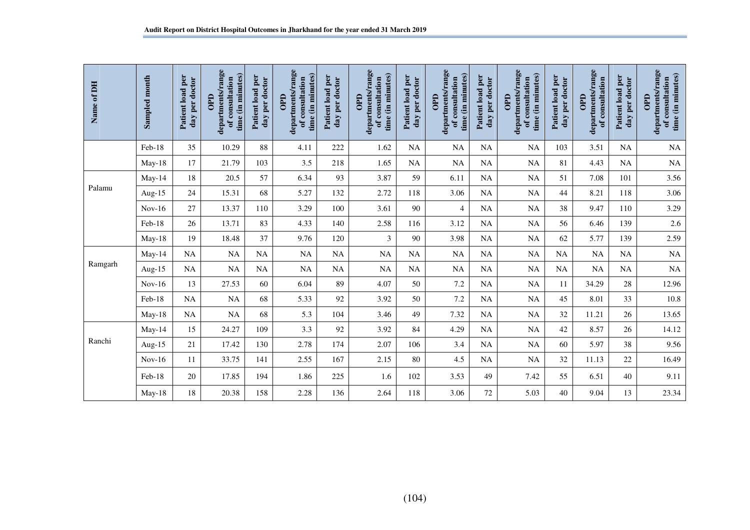| Name of DH | Sampled month | Patient load per<br>day per doctor | departments/range<br>time (in minutes)<br>of consultation<br><b>OPD</b> | Patient load per<br>day per doctor | departments/range<br>time (in minutes)<br>of consultation<br>GaO | Patient load per<br>day per doctor | departments/range<br>time (in minutes)<br>of consultation<br>GaO | Patient load per<br>day per doctor | departments/range<br>time (in minutes)<br>of consultation<br>OPD | Patient load per<br>day per doctor | departments/range<br>time (in minutes)<br>of consultation<br>OPD | Patient load per<br>day per doctor | departments/range<br>of consultation<br><b>OPD</b> | Patient load per<br>day per doctor | departments/range<br>time (in minutes)<br>of consultation<br><b>OPD</b> |
|------------|---------------|------------------------------------|-------------------------------------------------------------------------|------------------------------------|------------------------------------------------------------------|------------------------------------|------------------------------------------------------------------|------------------------------------|------------------------------------------------------------------|------------------------------------|------------------------------------------------------------------|------------------------------------|----------------------------------------------------|------------------------------------|-------------------------------------------------------------------------|
|            | Feb-18        | 35                                 | 10.29                                                                   | 88                                 | 4.11                                                             | 222                                | 1.62                                                             | <b>NA</b>                          | NA                                                               | <b>NA</b>                          | NA                                                               | 103                                | 3.51                                               | <b>NA</b>                          | NA                                                                      |
|            | $May-18$      | 17                                 | 21.79                                                                   | 103                                | 3.5                                                              | 218                                | 1.65                                                             | <b>NA</b>                          | NA                                                               | NA                                 | $\rm NA$                                                         | 81                                 | 4.43                                               | NA                                 | $\rm NA$                                                                |
|            | May-14        | 18                                 | 20.5                                                                    | 57                                 | 6.34                                                             | 93                                 | 3.87                                                             | 59                                 | 6.11                                                             | <b>NA</b>                          | <b>NA</b>                                                        | 51                                 | 7.08                                               | 101                                | 3.56                                                                    |
| Palamu     | Aug- $15$     | 24                                 | 15.31                                                                   | 68                                 | 5.27                                                             | 132                                | 2.72                                                             | 118                                | 3.06                                                             | <b>NA</b>                          | NA                                                               | 44                                 | 8.21                                               | 118                                | 3.06                                                                    |
|            | $Nov-16$      | 27                                 | 13.37                                                                   | 110                                | 3.29                                                             | 100                                | 3.61                                                             | 90                                 | $\overline{\mathcal{L}}$                                         | NA                                 | $\rm NA$                                                         | 38                                 | 9.47                                               | 110                                | 3.29                                                                    |
|            | Feb-18        | 26                                 | 13.71                                                                   | 83                                 | 4.33                                                             | 140                                | 2.58                                                             | 116                                | 3.12                                                             | NA                                 | $\rm NA$                                                         | 56                                 | 6.46                                               | 139                                | $2.6\,$                                                                 |
|            | May-18        | 19                                 | 18.48                                                                   | 37                                 | 9.76                                                             | 120                                | $\overline{3}$                                                   | 90                                 | 3.98                                                             | <b>NA</b>                          | NA                                                               | 62                                 | 5.77                                               | 139                                | 2.59                                                                    |
|            | May-14        | NA                                 | NA                                                                      | NA                                 | $_{\rm NA}$                                                      | NA                                 | NA                                                               | <b>NA</b>                          | <b>NA</b>                                                        | NA                                 | $\rm NA$                                                         | $\rm NA$                           | <b>NA</b>                                          | NA                                 | $\rm NA$                                                                |
| Ramgarh    | Aug-15        | <b>NA</b>                          | NA                                                                      | NA                                 | $\rm NA$                                                         | NA                                 | NA                                                               | NA                                 | NA                                                               | NA                                 | $\rm NA$                                                         | NA                                 | NA                                                 | NA                                 | $\rm NA$                                                                |
|            | $Nov-16$      | 13                                 | 27.53                                                                   | 60                                 | 6.04                                                             | 89                                 | 4.07                                                             | 50                                 | 7.2                                                              | NA                                 | $\rm NA$                                                         | 11                                 | 34.29                                              | 28                                 | 12.96                                                                   |
|            | Feb-18        | <b>NA</b>                          | <b>NA</b>                                                               | 68                                 | 5.33                                                             | 92                                 | 3.92                                                             | 50                                 | 7.2                                                              | <b>NA</b>                          | <b>NA</b>                                                        | 45                                 | 8.01                                               | 33                                 | 10.8                                                                    |
|            | May-18        | <b>NA</b>                          | NA                                                                      | 68                                 | 5.3                                                              | 104                                | 3.46                                                             | 49                                 | 7.32                                                             | NA                                 | $\rm NA$                                                         | 32                                 | 11.21                                              | 26                                 | 13.65                                                                   |
|            | May-14        | 15                                 | 24.27                                                                   | 109                                | 3.3                                                              | 92                                 | 3.92                                                             | 84                                 | 4.29                                                             | NA                                 | $\rm NA$                                                         | 42                                 | 8.57                                               | 26                                 | 14.12                                                                   |
| Ranchi     | Aug- $15$     | 21                                 | 17.42                                                                   | 130                                | 2.78                                                             | 174                                | 2.07                                                             | 106                                | 3.4                                                              | <b>NA</b>                          | $\rm NA$                                                         | 60                                 | 5.97                                               | 38                                 | 9.56                                                                    |
|            | $Nov-16$      | 11                                 | 33.75                                                                   | 141                                | 2.55                                                             | 167                                | 2.15                                                             | 80                                 | 4.5                                                              | NA                                 | NA                                                               | 32                                 | 11.13                                              | $22\,$                             | 16.49                                                                   |
|            | Feb-18        | 20                                 | 17.85                                                                   | 194                                | 1.86                                                             | 225                                | 1.6                                                              | 102                                | 3.53                                                             | 49                                 | 7.42                                                             | 55                                 | 6.51                                               | 40                                 | 9.11                                                                    |
|            | May-18        | 18                                 | 20.38                                                                   | 158                                | 2.28                                                             | 136                                | 2.64                                                             | 118                                | 3.06                                                             | $72\,$                             | 5.03                                                             | 40                                 | 9.04                                               | 13                                 | 23.34                                                                   |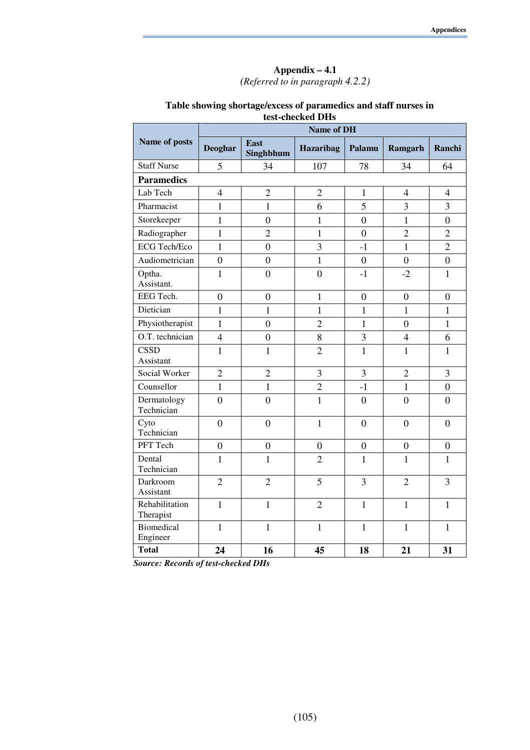#### **Appendix – 4.1**  *(Referred to in paragraph 4.2.2)*

|                               |                |                          | <b>Name of DH</b> |                  |                  |                  |
|-------------------------------|----------------|--------------------------|-------------------|------------------|------------------|------------------|
| Name of posts                 | <b>Deoghar</b> | <b>East</b><br>Singhbhum | Hazaribag         | Palamu           | Ramgarh          | Ranchi           |
| <b>Staff Nurse</b>            | 5              | 34                       | 107               | 78               | 34               | 64               |
| <b>Paramedics</b>             |                |                          |                   |                  |                  |                  |
| Lab Tech                      | $\overline{4}$ | $\overline{2}$           | $\overline{2}$    | $\mathbf{1}$     | $\overline{4}$   | $\overline{4}$   |
| Pharmacist                    | $\mathbf{1}$   | $\mathbf{1}$             | 6                 | 5                | $\overline{3}$   | 3                |
| Storekeeper                   | $\mathbf{1}$   | $\overline{0}$           | $\mathbf{1}$      | $\overline{0}$   | $\mathbf{1}$     | $\boldsymbol{0}$ |
| Radiographer                  | $\mathbf{1}$   | $\overline{2}$           | $\mathbf{1}$      | $\overline{0}$   | $\overline{2}$   | $\overline{2}$   |
| <b>ECG Tech/Eco</b>           | $\mathbf{1}$   | $\boldsymbol{0}$         | 3                 | $-1$             | $\mathbf{1}$     | $\overline{2}$   |
| Audiometrician                | $\overline{0}$ | $\overline{0}$           | $\mathbf{1}$      | $\overline{0}$   | $\overline{0}$   | $\overline{0}$   |
| Optha.<br>Assistant.          | $\mathbf{1}$   | $\overline{0}$           | $\overline{0}$    | $-1$             | $-2$             | $\mathbf{1}$     |
| EEG Tech.                     | $\overline{0}$ | $\boldsymbol{0}$         | $\mathbf{1}$      | $\boldsymbol{0}$ | $\boldsymbol{0}$ | $\boldsymbol{0}$ |
| Dietician                     | $\mathbf{1}$   | $\mathbf{1}$             | $\mathbf{1}$      | $\mathbf{1}$     | $\mathbf{1}$     | $\mathbf{1}$     |
| Physiotherapist               | $\mathbf{1}$   | $\overline{0}$           | $\overline{2}$    | $\mathbf{1}$     | $\overline{0}$   | $\mathbf{1}$     |
| O.T. technician               | $\overline{4}$ | $\overline{0}$           | $8\,$             | 3                | $\overline{4}$   | 6                |
| <b>CSSD</b><br>Assistant      | $\mathbf{1}$   | $\mathbf{1}$             | $\overline{2}$    | $\mathbf{1}$     | $\mathbf{1}$     | $\mathbf{1}$     |
| Social Worker                 | $\overline{2}$ | $\overline{2}$           | 3                 | 3                | $\overline{2}$   | 3                |
| Counsellor                    | $\mathbf{1}$   | $\mathbf{1}$             | $\overline{2}$    | $-1$             | $\mathbf{1}$     | $\boldsymbol{0}$ |
| Dermatology<br>Technician     | $\overline{0}$ | $\overline{0}$           | $\mathbf{1}$      | $\overline{0}$   | $\overline{0}$   | $\overline{0}$   |
| Cyto<br>Technician            | $\overline{0}$ | $\overline{0}$           | $\mathbf{1}$      | $\overline{0}$   | $\overline{0}$   | $\overline{0}$   |
| PFT Tech                      | $\overline{0}$ | $\overline{0}$           | $\overline{0}$    | $\overline{0}$   | $\overline{0}$   | $\overline{0}$   |
| Dental<br>Technician          | $\mathbf{1}$   | $\mathbf{1}$             | $\overline{2}$    | $\mathbf{1}$     | $\mathbf{1}$     | $\mathbf{1}$     |
| Darkroom<br>Assistant         | $\overline{2}$ | $\overline{2}$           | 5                 | 3                | $\overline{2}$   | 3                |
| Rehabilitation<br>Therapist   | $\mathbf{1}$   | $\mathbf{1}$             | $\overline{2}$    | $\mathbf{1}$     | $\mathbf{1}$     | $\mathbf{1}$     |
| <b>Biomedical</b><br>Engineer | $\mathbf{1}$   | $\mathbf{1}$             | $\mathbf{1}$      | $\mathbf{1}$     | $\mathbf{1}$     | $\mathbf{1}$     |
| <b>Total</b>                  | 24             | 16                       | 45                | 18               | 21               | 31               |

#### **Table showing shortage/excess of paramedics and staff nurses in test-checked DHs**

*Source: Records of test-checked DHs*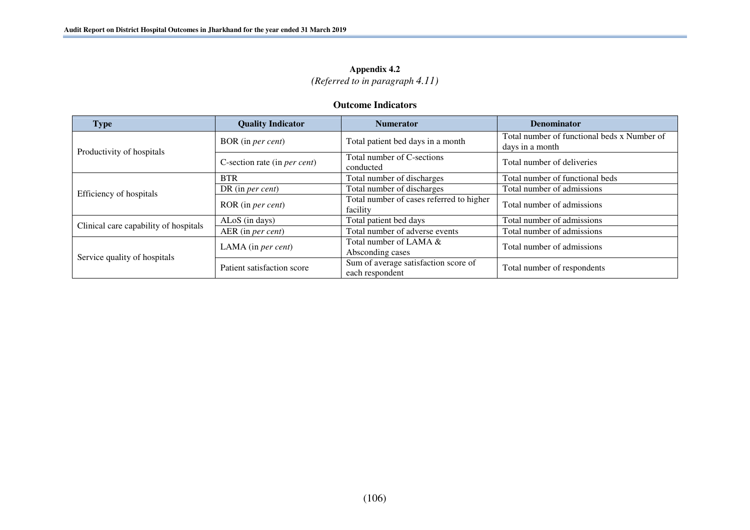### **Appendix 4.2**

*(Referred to in paragraph 4.11)* 

#### **Outcome Indicators**

| <b>Type</b>                           | <b>Quality Indicator</b>             | <b>Numerator</b>                                        | <b>Denominator</b>                                             |
|---------------------------------------|--------------------------------------|---------------------------------------------------------|----------------------------------------------------------------|
| Productivity of hospitals             | BOR (in per cent)                    | Total patient bed days in a month                       | Total number of functional beds x Number of<br>days in a month |
|                                       | C-section rate (in <i>per cent</i> ) | Total number of C-sections<br>conducted                 | Total number of deliveries                                     |
|                                       | <b>BTR</b>                           | Total number of discharges                              | Total number of functional beds                                |
| Efficiency of hospitals               | DR (in <i>per cent</i> )             | Total number of discharges                              | Total number of admissions                                     |
|                                       | ROR (in per cent)                    | Total number of cases referred to higher<br>facility    | Total number of admissions                                     |
| Clinical care capability of hospitals | $ALoS$ (in days)                     | Total patient bed days                                  | Total number of admissions                                     |
|                                       | AER (in per cent)                    | Total number of adverse events                          | Total number of admissions                                     |
|                                       | LAMA (in <i>per cent</i> )           | Total number of LAMA &<br>Absconding cases              | Total number of admissions                                     |
| Service quality of hospitals          | Patient satisfaction score           | Sum of average satisfaction score of<br>each respondent | Total number of respondents                                    |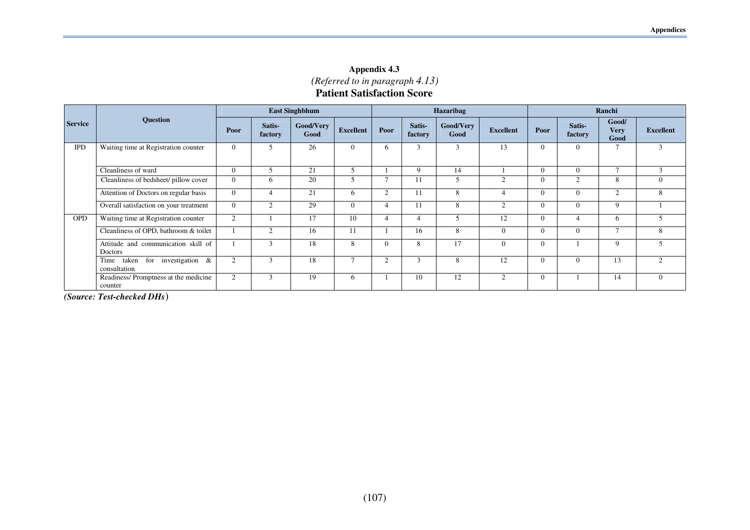**Appendix 4.3**  *(Referred to in paragraph 4.13)*  **Patient Satisfaction Score**

|                |                                                            | <b>East Singhbhum</b> |                   |                   |                  |          | Hazaribag         |                   |                  |          | Ranchi            |                              |                  |  |
|----------------|------------------------------------------------------------|-----------------------|-------------------|-------------------|------------------|----------|-------------------|-------------------|------------------|----------|-------------------|------------------------------|------------------|--|
| <b>Service</b> | <b>Question</b>                                            | Poor                  | Satis-<br>factory | Good/Very<br>Good | <b>Excellent</b> | Poor     | Satis-<br>factory | Good/Very<br>Good | <b>Excellent</b> | Poor     | Satis-<br>factory | Good/<br><b>Very</b><br>Good | <b>Excellent</b> |  |
| <b>IPD</b>     | Waiting time at Registration counter                       | $\overline{0}$        | 5                 | 26                | $\Omega$         | h.       | 3                 | 3                 | 13               | $\theta$ | $\Omega$          |                              | $\mathbf{3}$     |  |
|                | Cleanliness of ward                                        | $\overline{0}$        | 5                 | 21                | $\overline{5}$   |          | 9                 | 14                |                  | $\Omega$ | $\Omega$          | $\mathbf{r}$                 | 3                |  |
|                | Cleanliness of bedsheet/ pillow cover                      | $\overline{0}$        | h                 | 20                |                  |          |                   | 5                 | $\bigcap$        | $\Omega$ | $\overline{2}$    | 8                            | $\theta$         |  |
|                | Attention of Doctors on regular basis                      | $\overline{0}$        |                   | 21                | 6                | $\sim$   | 11                | 8                 |                  | $\Omega$ | 0                 | $\overline{2}$               | 8                |  |
|                | Overall satisfaction on your treatment                     | $\theta$              | $\mathfrak{D}$    | 29                | $\Omega$         |          | -1.1              | 8                 | $\mathfrak{D}$   | $\Omega$ | $\Omega$          | 9                            |                  |  |
| <b>OPD</b>     | Waiting time at Registration counter                       | 2                     |                   | 17                | 10               |          | 4                 | 5                 | 12               | $\theta$ |                   | 6                            |                  |  |
|                | Cleanliness of OPD, bathroom & toilet                      |                       | $\overline{c}$    | 16                | 11               |          | 16                | 8                 |                  | $\Omega$ | $\Omega$          | $\overline{ }$               | $\mathbf{8}$     |  |
|                | Attitude and communication skill of<br>Doctors             |                       | 3                 | 18                | 8                | $\Omega$ | 8                 | 17                | 0                | $\Omega$ |                   | 9                            |                  |  |
|                | investigation<br>&<br>for<br>Time<br>taken<br>consultation | $\overline{2}$        | 3                 | 18                |                  | $\sim$   | 3                 | 8                 | 12               | $\Omega$ | $\Omega$          | 13                           | $\bigcirc$       |  |
|                | Readiness/Promptness at the medicine<br>counter            | $\overline{2}$        | 3                 | 19                | 6                |          | 10                | 12                | $\bigcap$        | $\theta$ |                   | 14                           | $\theta$         |  |

*(Source: Test-checked DHs*)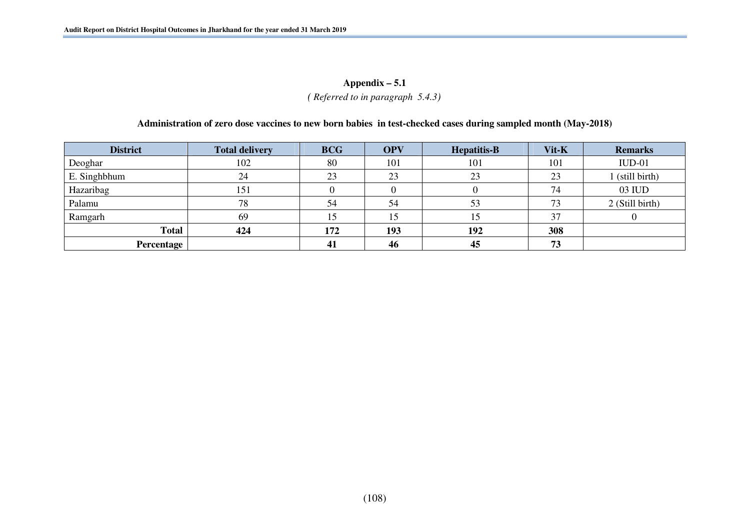#### **Appendix – 5.1**

*( Referred to in paragraph 5.4.3)* 

#### **Administration of zero dose vaccines to new born babies in test-checked cases during sampled month (May-2018)**

| <b>District</b> | <b>Total delivery</b> | <b>BCG</b> | <b>OPV</b> | <b>Hepatitis-B</b> | Vit-K | <b>Remarks</b>  |
|-----------------|-----------------------|------------|------------|--------------------|-------|-----------------|
| Deoghar         | 102                   | 80         | 101        | 101                | 101   | $IUD-01$        |
| E. Singhbhum    | 24                    | 23         | 23         | 23                 | 23    | I (still birth) |
| Hazaribag       | 151                   |            |            |                    | 74    | 03 IUD          |
| Palamu          | 78                    | 54         | 54         | 53                 | 73    | 2 (Still birth) |
| Ramgarh         | 69                    | 15         |            |                    | 37    |                 |
| <b>Total</b>    | 424                   | 172        | 193        | 192                | 308   |                 |
| Percentage      |                       | 41         | 46         | 45                 | 73    |                 |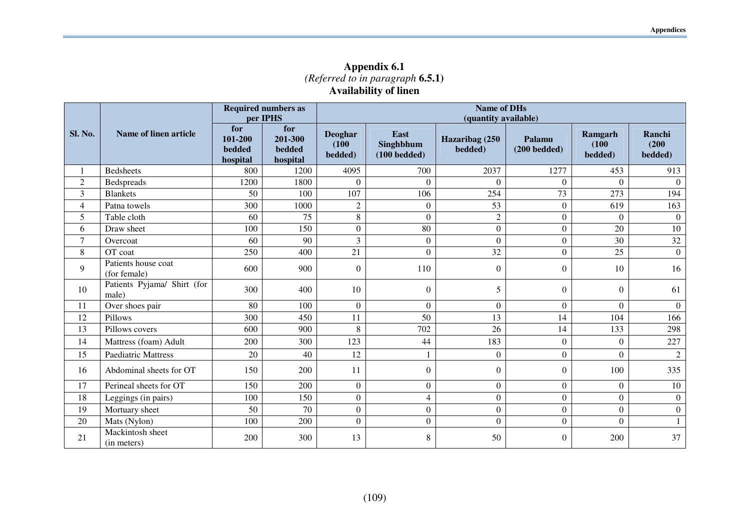**Appendix 6.1**  *(Referred to in paragraph* **6.5.1) Availability of linen** 

|                |                                      |                                      | <b>Name of DHs</b><br><b>Required numbers as</b><br>(quantity available)<br>per IPHS |                                    |                                            |                           |                          |                             |                            |  |
|----------------|--------------------------------------|--------------------------------------|--------------------------------------------------------------------------------------|------------------------------------|--------------------------------------------|---------------------------|--------------------------|-----------------------------|----------------------------|--|
| Sl. No.        | <b>Name of linen article</b>         | for<br>101-200<br>bedded<br>hospital | for<br>201-300<br>bedded<br>hospital                                                 | <b>Deoghar</b><br>(100)<br>bedded) | East<br>Singhbhum<br>$(100 \text{bedded})$ | Hazaribag (250<br>bedded) | Palamu<br>$(200$ bedded) | Ramgarh<br>(100)<br>bedded) | Ranchi<br>(200)<br>bedded) |  |
| 1              | <b>Bedsheets</b>                     | 800                                  | 1200                                                                                 | 4095                               | 700                                        | 2037                      | 1277                     | 453                         | 913                        |  |
| $\mathfrak{2}$ | Bedspreads                           | 1200                                 | 1800                                                                                 | $\theta$                           | $\Omega$                                   | $\Omega$                  | $\Omega$                 | $\Omega$                    | $\Omega$                   |  |
| $\overline{3}$ | <b>Blankets</b>                      | 50                                   | 100                                                                                  | 107                                | 106                                        | 254                       | 73                       | 273                         | 194                        |  |
| $\overline{4}$ | Patna towels                         | 300                                  | 1000                                                                                 | $\overline{2}$                     | $\mathbf{0}$                               | 53                        | $\overline{0}$           | 619                         | 163                        |  |
| 5              | Table cloth                          | 60                                   | 75                                                                                   | 8                                  | $\theta$                                   | $\overline{2}$            | $\overline{0}$           | $\overline{0}$              | $\theta$                   |  |
| 6              | Draw sheet                           | 100                                  | 150                                                                                  | $\boldsymbol{0}$                   | 80                                         | $\overline{0}$            | $\overline{0}$           | 20                          | 10                         |  |
| $\tau$         | Overcoat                             | 60                                   | 90                                                                                   | 3                                  | $\boldsymbol{0}$                           | $\boldsymbol{0}$          | $\boldsymbol{0}$         | 30                          | 32                         |  |
| 8              | OT coat                              | 250                                  | 400                                                                                  | 21                                 | $\overline{0}$                             | 32                        | $\overline{0}$           | 25                          | $\overline{0}$             |  |
| 9              | Patients house coat<br>(for female)  | 600                                  | 900                                                                                  | $\mathbf{0}$                       | 110                                        | $\mathbf{0}$              | $\boldsymbol{0}$         | 10                          | 16                         |  |
| 10             | Patients Pyjama/ Shirt (for<br>male) | 300                                  | 400                                                                                  | 10                                 | $\theta$                                   | 5                         | $\boldsymbol{0}$         | $\Omega$                    | 61                         |  |
| 11             | Over shoes pair                      | 80                                   | 100                                                                                  | $\boldsymbol{0}$                   | $\Omega$                                   | $\overline{0}$            | $\overline{0}$           | $\Omega$                    | $\overline{0}$             |  |
| 12             | Pillows                              | 300                                  | 450                                                                                  | 11                                 | 50                                         | 13                        | 14                       | 104                         | 166                        |  |
| 13             | Pillows covers                       | 600                                  | 900                                                                                  | 8                                  | 702                                        | 26                        | 14                       | 133                         | 298                        |  |
| 14             | Mattress (foam) Adult                | 200                                  | 300                                                                                  | 123                                | 44                                         | 183                       | $\boldsymbol{0}$         | $\boldsymbol{0}$            | 227                        |  |
| 15             | <b>Paediatric Mattress</b>           | 20                                   | 40                                                                                   | 12                                 |                                            | $\boldsymbol{0}$          | $\overline{0}$           | $\theta$                    | 2                          |  |
| 16             | Abdominal sheets for OT              | 150                                  | 200                                                                                  | 11                                 | $\boldsymbol{0}$                           | $\overline{0}$            | $\overline{0}$           | 100                         | 335                        |  |
| 17             | Perineal sheets for OT               | 150                                  | 200                                                                                  | $\boldsymbol{0}$                   | $\boldsymbol{0}$                           | $\boldsymbol{0}$          | $\boldsymbol{0}$         | $\Omega$                    | 10                         |  |
| 18             | Leggings (in pairs)                  | 100                                  | 150                                                                                  | $\boldsymbol{0}$                   | $\overline{4}$                             | $\overline{0}$            | $\boldsymbol{0}$         | $\overline{0}$              | $\overline{0}$             |  |
| 19             | Mortuary sheet                       | 50                                   | 70                                                                                   | $\boldsymbol{0}$                   | $\boldsymbol{0}$                           | $\boldsymbol{0}$          | $\boldsymbol{0}$         | $\boldsymbol{0}$            | $\overline{0}$             |  |
| 20             | Mats (Nylon)                         | 100                                  | 200                                                                                  | $\overline{0}$                     | $\boldsymbol{0}$                           | $\overline{0}$            | $\boldsymbol{0}$         | $\theta$                    | $\mathbf{1}$               |  |
| 21             | Mackintosh sheet<br>(in meters)      | 200                                  | 300                                                                                  | 13                                 | 8                                          | 50                        | $\boldsymbol{0}$         | 200                         | 37                         |  |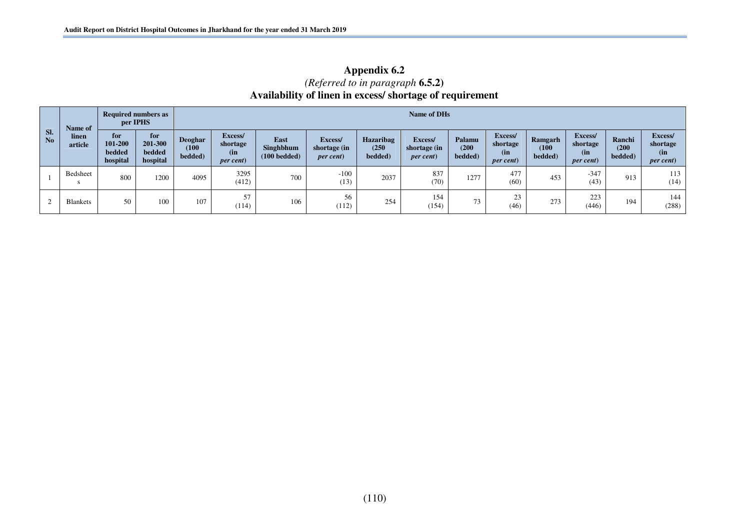| Appendix 6.2                                            |
|---------------------------------------------------------|
| ( <i>Referred to in paragraph</i> $6.5.2$ )             |
| Availability of linen in excess/shortage of requirement |

| SI.            | Name of          | per IPHS                                    | <b>Required numbers as</b>           |                                    | Name of DHs                                      |                                                   |                                              |                                      |                                              |                            |                                                 |                             |                                                  |                            |                                                  |  |
|----------------|------------------|---------------------------------------------|--------------------------------------|------------------------------------|--------------------------------------------------|---------------------------------------------------|----------------------------------------------|--------------------------------------|----------------------------------------------|----------------------------|-------------------------------------------------|-----------------------------|--------------------------------------------------|----------------------------|--------------------------------------------------|--|
| N <sub>o</sub> | linen<br>article | for<br>101-200<br><b>bedded</b><br>hospital | for<br>201-300<br>bedded<br>hospital | <b>Deoghar</b><br>(100)<br>bedded) | Excess/<br>shortage<br>(in)<br><i>per cent</i> ) | <b>East</b><br>Singhbhum<br>$(100 \text{bedded})$ | Excess/<br>shortage (in<br><i>per cent</i> ) | <b>Hazaribag</b><br>(250)<br>bedded) | Excess/<br>shortage (in<br><i>per cent</i> ) | Palamu<br>(200)<br>bedded) | Excess/<br>shortage<br>(in<br><i>per cent</i> ) | Ramgarh<br>(100)<br>bedded) | Excess/<br>shortage<br>(in)<br><i>per cent</i> ) | Ranchi<br>(200)<br>bedded) | Excess/<br>shortage<br>(in)<br><i>per cent</i> ) |  |
|                | Bedsheet         | 800                                         | 1200                                 | 4095                               | 3295<br>(412)                                    | 700                                               | $-100$<br>(13)                               | 2037                                 | 837<br>(70)                                  | 1277                       | 477<br>(60)                                     | 453                         | $-347$<br>(43)                                   | 913                        | 113<br>(14)                                      |  |
|                | <b>Blankets</b>  | 50                                          | 100                                  | 107                                | 57<br>(114)                                      | 106                                               | 56<br>(112)                                  | 254                                  | 154<br>(154)                                 | 73                         | 23<br>(46)                                      | 273                         | 223<br>(446)                                     | 194                        | 144<br>(288)                                     |  |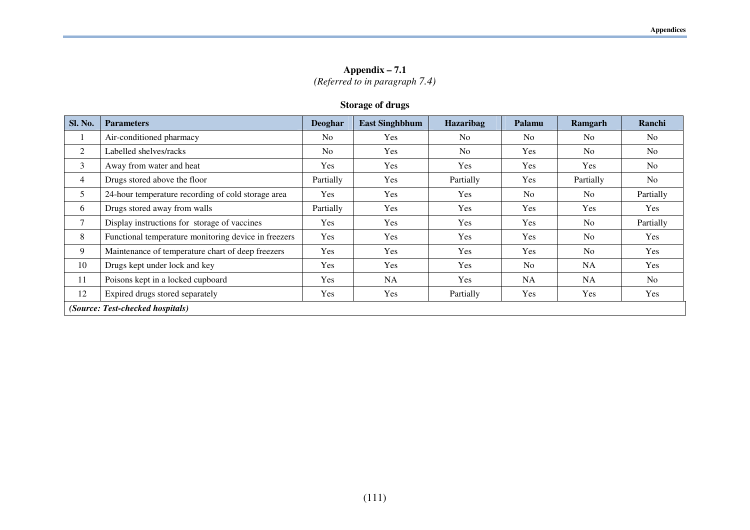**Appendix – 7.1**  *(Referred to in paragraph 7.4)* 

### **Storage of drugs**

| Sl. No. | <b>Parameters</b>                                    | Deoghar        | <b>East Singhbhum</b> | Hazaribag      | Palamu         | Ramgarh        | Ranchi         |
|---------|------------------------------------------------------|----------------|-----------------------|----------------|----------------|----------------|----------------|
|         | Air-conditioned pharmacy                             | N <sub>0</sub> | Yes                   | N <sub>o</sub> | N <sub>0</sub> | N <sub>o</sub> | N <sub>o</sub> |
| 2       | Labelled shelves/racks                               | N <sub>o</sub> | Yes                   | N <sub>o</sub> | Yes            | N <sub>o</sub> | No             |
| 3       | Away from water and heat                             | <b>Yes</b>     | Yes                   | Yes            | <b>Yes</b>     | <b>Yes</b>     | N <sub>o</sub> |
| 4       | Drugs stored above the floor                         | Partially      | <b>Yes</b>            | Partially      | Yes            | Partially      | No             |
| 5       | 24-hour temperature recording of cold storage area   | Yes            | Yes                   | Yes            | N <sub>0</sub> | N <sub>o</sub> | Partially      |
| 6       | Drugs stored away from walls                         | Partially      | Yes                   | Yes            | Yes            | Yes            | Yes            |
| 7       | Display instructions for storage of vaccines         | Yes            | <b>Yes</b>            | Yes            | Yes            | No             | Partially      |
| 8       | Functional temperature monitoring device in freezers | Yes            | <b>Yes</b>            | Yes            | <b>Yes</b>     | N <sub>o</sub> | Yes            |
| 9       | Maintenance of temperature chart of deep freezers    | Yes            | Yes                   | Yes            | <b>Yes</b>     | No             | Yes            |
| 10      | Drugs kept under lock and key                        | Yes            | Yes                   | <b>Yes</b>     | N <sub>0</sub> | <b>NA</b>      | Yes            |
| 11      | Poisons kept in a locked cupboard                    | Yes            | <b>NA</b>             | Yes            | NA             | <b>NA</b>      | N <sub>o</sub> |
| 12      | Expired drugs stored separately                      | Yes            | Yes                   | Partially      | <b>Yes</b>     | <b>Yes</b>     | Yes            |
|         | (Source: Test-checked hospitals)                     |                |                       |                |                |                |                |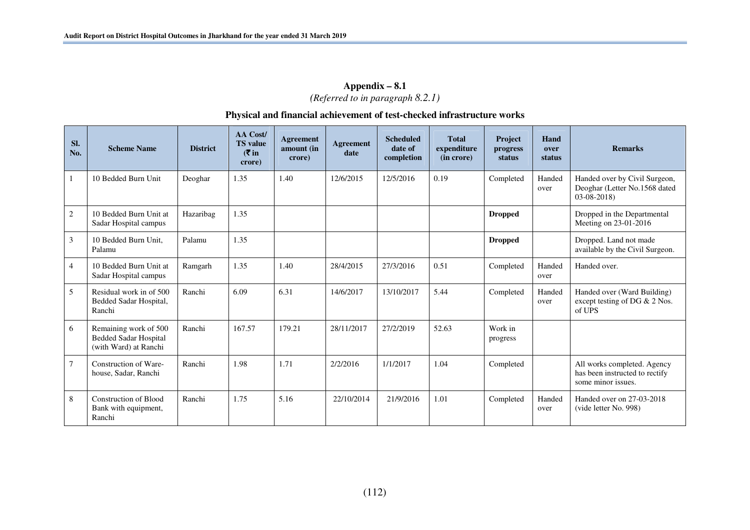## **Appendix – 8.1**  *(Referred to in paragraph 8.2.1)*

#### **Physical and financial achievement of test-checked infrastructure works**

| SI.<br>No.     | <b>Scheme Name</b>                                                             | <b>District</b> | <b>AA Cost/</b><br><b>TS</b> value<br>( ₹ in<br>crore) | Agreement<br>amount (in<br>crore) | <b>Agreement</b><br>date | <b>Scheduled</b><br>date of<br>completion | <b>Total</b><br>expenditure<br>(in crore) | <b>Project</b><br>progress<br>status | Hand<br>over<br>status | <b>Remarks</b>                                                                      |
|----------------|--------------------------------------------------------------------------------|-----------------|--------------------------------------------------------|-----------------------------------|--------------------------|-------------------------------------------|-------------------------------------------|--------------------------------------|------------------------|-------------------------------------------------------------------------------------|
|                | 10 Bedded Burn Unit                                                            | Deoghar         | 1.35                                                   | 1.40                              | 12/6/2015                | 12/5/2016                                 | 0.19                                      | Completed                            | Handed<br>over         | Handed over by Civil Surgeon,<br>Deoghar (Letter No.1568 dated<br>$03-08-2018$      |
| 2              | 10 Bedded Burn Unit at<br>Sadar Hospital campus                                | Hazaribag       | 1.35                                                   |                                   |                          |                                           |                                           | <b>Dropped</b>                       |                        | Dropped in the Departmental<br>Meeting on 23-01-2016                                |
| 3              | 10 Bedded Burn Unit,<br>Palamu                                                 | Palamu          | 1.35                                                   |                                   |                          |                                           |                                           | <b>Dropped</b>                       |                        | Dropped. Land not made<br>available by the Civil Surgeon.                           |
| $\overline{4}$ | 10 Bedded Burn Unit at<br>Sadar Hospital campus                                | Ramgarh         | 1.35                                                   | 1.40                              | 28/4/2015                | 27/3/2016                                 | 0.51                                      | Completed                            | Handed<br>over         | Handed over.                                                                        |
| 5              | Residual work in of 500<br>Bedded Sadar Hospital,<br>Ranchi                    | Ranchi          | 6.09                                                   | 6.31                              | 14/6/2017                | 13/10/2017                                | 5.44                                      | Completed                            | Handed<br>over         | Handed over (Ward Building)<br>except testing of DG & 2 Nos.<br>of UPS              |
| 6              | Remaining work of 500<br><b>Bedded Sadar Hospital</b><br>(with Ward) at Ranchi | Ranchi          | 167.57                                                 | 179.21                            | 28/11/2017               | 27/2/2019                                 | 52.63                                     | Work in<br>progress                  |                        |                                                                                     |
| $\tau$         | Construction of Ware-<br>house, Sadar, Ranchi                                  | Ranchi          | 1.98                                                   | 1.71                              | 2/2/2016                 | 1/1/2017                                  | 1.04                                      | Completed                            |                        | All works completed. Agency<br>has been instructed to rectify<br>some minor issues. |
| 8              | <b>Construction of Blood</b><br>Bank with equipment,<br>Ranchi                 | Ranchi          | 1.75                                                   | 5.16                              | 22/10/2014               | 21/9/2016                                 | 1.01                                      | Completed                            | Handed<br>over         | Handed over on 27-03-2018<br>(vide letter No. 998)                                  |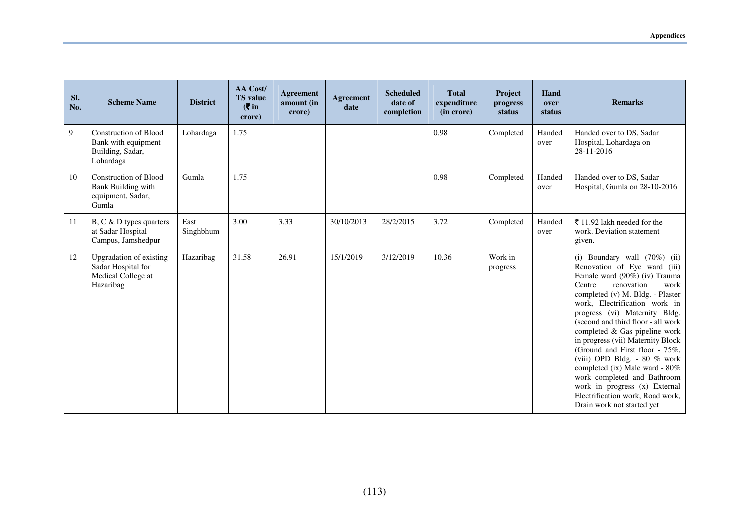| Sl.<br>No. | <b>Scheme Name</b>                                                                   | <b>District</b>   | AA Cost/<br><b>TS</b> value<br>$(5 \infty)$<br>crore) | Agreement<br>amount (in<br>crore) | <b>Agreement</b><br>date | <b>Scheduled</b><br>date of<br>completion | <b>Total</b><br>expenditure<br>(in crore) | <b>Project</b><br>progress<br>status | Hand<br>over<br>status | <b>Remarks</b>                                                                                                                                                                                                                                                                                                                                                                                                                                                                                                                                                                           |
|------------|--------------------------------------------------------------------------------------|-------------------|-------------------------------------------------------|-----------------------------------|--------------------------|-------------------------------------------|-------------------------------------------|--------------------------------------|------------------------|------------------------------------------------------------------------------------------------------------------------------------------------------------------------------------------------------------------------------------------------------------------------------------------------------------------------------------------------------------------------------------------------------------------------------------------------------------------------------------------------------------------------------------------------------------------------------------------|
| 9          | <b>Construction of Blood</b><br>Bank with equipment<br>Building, Sadar,<br>Lohardaga | Lohardaga         | 1.75                                                  |                                   |                          |                                           | 0.98                                      | Completed                            | Handed<br>over         | Handed over to DS, Sadar<br>Hospital, Lohardaga on<br>28-11-2016                                                                                                                                                                                                                                                                                                                                                                                                                                                                                                                         |
| 10         | <b>Construction of Blood</b><br>Bank Building with<br>equipment, Sadar,<br>Gumla     | Gumla             | 1.75                                                  |                                   |                          |                                           | 0.98                                      | Completed                            | Handed<br>over         | Handed over to DS, Sadar<br>Hospital, Gumla on 28-10-2016                                                                                                                                                                                                                                                                                                                                                                                                                                                                                                                                |
| 11         | B, C & D types quarters<br>at Sadar Hospital<br>Campus, Jamshedpur                   | East<br>Singhbhum | 3.00                                                  | 3.33                              | 30/10/2013               | 28/2/2015                                 | 3.72                                      | Completed                            | Handed<br>over         | ₹ 11.92 lakh needed for the<br>work. Deviation statement<br>given.                                                                                                                                                                                                                                                                                                                                                                                                                                                                                                                       |
| 12         | Upgradation of existing<br>Sadar Hospital for<br>Medical College at<br>Hazaribag     | Hazaribag         | 31.58                                                 | 26.91                             | 15/1/2019                | 3/12/2019                                 | 10.36                                     | Work in<br>progress                  |                        | (i) Boundary wall $(70\%)$ (ii)<br>Renovation of Eye ward (iii)<br>Female ward (90%) (iv) Trauma<br>Centre<br>renovation<br>work<br>completed (v) M. Bldg. - Plaster<br>work, Electrification work in<br>progress (vi) Maternity Bldg.<br>(second and third floor - all work<br>completed & Gas pipeline work<br>in progress (vii) Maternity Block<br>(Ground and First floor - 75%,<br>(viii) OPD Bldg. - 80 % work<br>completed (ix) Male ward - 80%<br>work completed and Bathroom<br>work in progress (x) External<br>Electrification work, Road work,<br>Drain work not started yet |